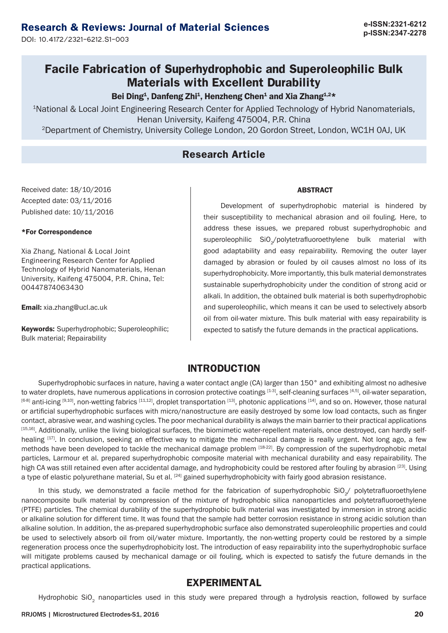# **p-ISSN:2347-2278 Research & Reviews: Journal of Material Sciences**

DOI: 10.4172/2321-6212.S1-003

# **Facile Fabrication of Superhydrophobic and Superoleophilic Bulk Materials with Excellent Durability**

Bei Ding<sup>1</sup>, Danfeng Zhi<sup>1</sup>, Henzheng Chen<sup>1</sup> and Xia Zhang<sup>1,2\*</sup>

1National & Local Joint Engineering Research Center for Applied Technology of Hybrid Nanomaterials, Henan University, Kaifeng 475004, P.R. China 2Department of Chemistry, University College London, 20 Gordon Street, London, WC1H 0AJ, UK

### **Research Article**

Received date: 18/10/2016 Accepted date: 03/11/2016 Published date: 10/11/2016

#### \*For Correspondence

Xia Zhang, National & Local Joint Engineering Research Center for Applied Technology of Hybrid Nanomaterials, Henan University, Kaifeng 475004, P.R. China, Tel: 00447874063430

Email: xia.zhang@ucl.ac.uk

Keywords: Superhydrophobic; Superoleophilic; Bulk material; Repairability

#### ABSTRACT

Development of superhydrophobic material is hindered by their susceptibility to mechanical abrasion and oil fouling. Here, to address these issues, we prepared robust superhydrophobic and superoleophilic SiO<sub>2</sub>/polytetrafluoroethylene bulk material with good adaptability and easy repairability. Removing the outer layer damaged by abrasion or fouled by oil causes almost no loss of its superhydrophobicity. More importantly, this bulk material demonstrates sustainable superhydrophobicity under the condition of strong acid or alkali. In addition, the obtained bulk material is both superhydrophobic and superoleophilic, which means it can be used to selectively absorb oil from oil-water mixture. This bulk material with easy repairability is expected to satisfy the future demands in the practical applications.

### **INTRODUCTION**

Superhydrophobic surfaces in nature, having a water contact angle (CA) larger than 150° and exhibiting almost no adhesive to water droplets, have numerous applications in corrosion protective coatings [1-3], self-cleaning surfaces [4,5], oil-water separation,  $^{[6-8]}$  anti-icing  $^{[9,10]}$ , non-wetting fabrics  $^{[11,12]}$ , droplet transportation  $^{[13]}$ , photonic applications  $^{[14]}$ , and so on. However, those natural or artificial superhydrophobic surfaces with micro/nanostructure are easily destroyed by some low load contacts, such as finger contact, abrasive wear, and washing cycles. The poor mechanical durability is always the main barrier to their practical applications [15,16]. Additionally, unlike the living biological surfaces, the biomimetic water-repellent materials, once destroyed, can hardly selfhealing [17]. In conclusion, seeking an effective way to mitigate the mechanical damage is really urgent. Not long ago, a few methods have been developed to tackle the mechanical damage problem [18-22]. By compression of the superhydrophobic metal particles, Larmour et al. prepared superhydrophobic composite material with mechanical durability and easy repairability. The high CA was still retained even after accidental damage, and hydrophobicity could be restored after fouling by abrasion [23]. Using a type of elastic polyurethane material, Su et al. <sup>[24]</sup> gained superhydrophobicity with fairly good abrasion resistance.

In this study, we demonstrated a facile method for the fabrication of superhydrophobic  $SiO$ <sub>/</sub> polytetrafluoroethylene nanocomposite bulk material by compression of the mixture of hydrophobic silica nanoparticles and polytetrafluoroethylene (PTFE) particles. The chemical durability of the superhydrophobic bulk material was investigated by immersion in strong acidic or alkaline solution for different time. It was found that the sample had better corrosion resistance in strong acidic solution than alkaline solution. In addition, the as-prepared superhydrophobic surface also demonstrated superoleophilic properties and could be used to selectively absorb oil from oil/water mixture. Importantly, the non-wetting property could be restored by a simple regeneration process once the superhydrophobicity lost. The introduction of easy repairability into the superhydrophobic surface will mitigate problems caused by mechanical damage or oil fouling, which is expected to satisfy the future demands in the practical applications.

### **EXPERIMENTAL**

Hydrophobic SiO<sub>2</sub> nanoparticles used in this study were prepared through a hydrolysis reaction, followed by surface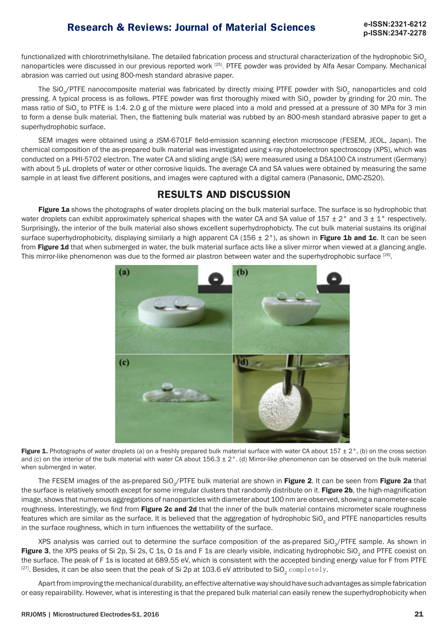# **p-ISSN:2347-2278**

functionalized with chlorotrimethylsilane. The detailed fabrication process and structural characterization of the hydrophobic SiO. nanoparticles were discussed in our previous reported work [25]. PTFE powder was provided by Alfa Aesar Company. Mechanical abrasion was carried out using 800-mesh standard abrasive paper.

The SiO<sub>2</sub>/PTFE nanocomposite material was fabricated by directly mixing PTFE powder with SiO<sub>2</sub> nanoparticles and cold pressing. A typical process is as follows. PTFE powder was first thoroughly mixed with SiO<sub>2</sub> powder by grinding for 20 min. The mass ratio of SiO<sub>2</sub> to PTFE is 1:4. 2.0 g of the mixture were placed into a mold and pressed at a pressure of 30 MPa for 3 min to form a dense bulk material. Then, the flattening bulk material was rubbed by an 800-mesh standard abrasive paper to get a superhydrophobic surface.

SEM images were obtained using a JSM-6701F field-emission scanning electron microscope (FESEM, JEOL, Japan). The chemical composition of the as-prepared bulk material was investigated using x-ray photoelectron spectroscopy (XPS), which was conducted on a PHI-5702 electron. The water CA and sliding angle (SA) were measured using a DSA100 CA instrument (Germany) with about 5 µL droplets of water or other corrosive liquids. The average CA and SA values were obtained by measuring the same sample in at least five different positions, and images were captured with a digital camera (Panasonic, DMC-ZS20).

## **RESULTS AND DISCUSSION**

Figure 1a shows the photographs of water droplets placing on the bulk material surface. The surface is so hydrophobic that water droplets can exhibit approximately spherical shapes with the water CA and SA value of  $157 \pm 2^{\circ}$  and  $3 \pm 1^{\circ}$  respectively. Surprisingly, the interior of the bulk material also shows excellent superhydrophobicty. The cut bulk material sustains its original surface superhydrophobicity, displaying similarly a high apparent CA (156  $\pm$  2°), as shown in Figure 1b and 1c. It can be seen from Figure 1d that when submerged in water, the bulk material surface acts like a sliver mirror when viewed at a glancing angle. This mirror-like phenomenon was due to the formed air plastron between water and the superhydrophobic surface [26].



Figure 1. Photographs of water droplets (a) on a freshly prepared bulk material surface with water CA about 157  $\pm$  2°, (b) on the cross section and (c) on the interior of the bulk material with water CA about  $156.3 \pm 2^{\circ}$ . (d) Mirror-like phenomenon can be observed on the bulk material when submerged in water.

The FESEM images of the as-prepared SiO<sub>~</sub>/PTFE bulk material are shown in Figure 2. It can be seen from Figure 2a that the surface is relatively smooth except for some irregular clusters that randomly distribute on it. Figure 2b, the high-magnification image, shows that numerous aggregations of nanoparticles with diameter about 100 nm are observed, showing a nanometer-scale roughness. Interestingly, we find from Figure 2c and 2d that the inner of the bulk material contains micrometer scale roughness features which are similar as the surface. It is believed that the aggregation of hydrophobic SiO<sub>2</sub> and PTFE nanoparticles results in the surface roughness, which in turn influences the wettability of the surface.

XPS analysis was carried out to determine the surface composition of the as-prepared SiO<sub>~</sub>/PTFE sample. As shown in Figure 3, the XPS peaks of Si 2p, Si 2s, C 1s, O 1s and F 1s are clearly visible, indicating hydrophobic SiO<sub>2</sub> and PTFE coexist on the surface. The peak of F 1s is located at 689.55 eV, which is consistent with the accepted binding energy value for F from PTFE <sup>[27]</sup>. Besides, it can be also seen that the peak of Si 2p at 103.6 eV attributed to SiO<sub>2</sub> completely.

Apart from improving the mechanical durability, an effective alternative way should have such advantages as simple fabrication or easy repairability. However, what is interesting is that the prepared bulk material can easily renew the superhydrophobicity when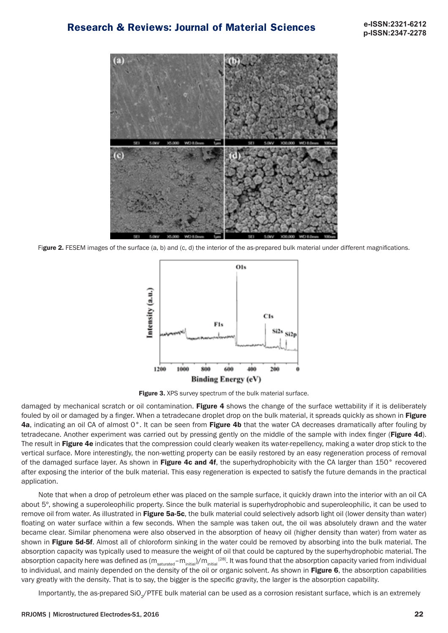**p-ISSN:2347-2278**



Figure 2. FESEM images of the surface (a, b) and (c, d) the interior of the as-prepared bulk material under different magnifications.



Figure 3. XPS survey spectrum of the bulk material surface.

damaged by mechanical scratch or oil contamination. Figure 4 shows the change of the surface wettability if it is deliberately fouled by oil or damaged by a finger. When a tetradecane droplet drop on the bulk material, it spreads quickly as shown in Figure 4a, indicating an oil CA of almost 0°. It can be seen from Figure 4b that the water CA decreases dramatically after fouling by tetradecane. Another experiment was carried out by pressing gently on the middle of the sample with index finger (Figure 4d). The result in Figure 4e indicates that the compression could clearly weaken its water-repellency, making a water drop stick to the vertical surface. More interestingly, the non-wetting property can be easily restored by an easy regeneration process of removal of the damaged surface layer. As shown in Figure 4c and 4f, the superhydrophobicity with the CA larger than 150° recovered after exposing the interior of the bulk material. This easy regeneration is expected to satisfy the future demands in the practical application.

Note that when a drop of petroleum ether was placed on the sample surface, it quickly drawn into the interior with an oil CA about 5º, showing a superoleophilic property. Since the bulk material is superhydrophobic and superoleophilic, it can be used to remove oil from water. As illustrated in Figure 5a-5c, the bulk material could selectively adsorb light oil (lower density than water) floating on water surface within a few seconds. When the sample was taken out, the oil was absolutely drawn and the water became clear. Similar phenomena were also observed in the absorption of heavy oil (higher density than water) from water as shown in Figure 5d-5f. Almost all of chloroform sinking in the water could be removed by absorbing into the bulk material. The absorption capacity was typically used to measure the weight of oil that could be captured by the superhydrophobic material. The absorption capacity here was defined as (m<sub>saturated</sub>–m<sub>initial</sub>)/m<sub>initial</sub> [28]. It was found that the absorption capacity varied from individual to individual, and mainly depended on the density of the oil or organic solvent. As shown in Figure 6, the absorption capabilities vary greatly with the density. That is to say, the bigger is the specific gravity, the larger is the absorption capability.

Importantly, the as-prepared SiO<sub>~</sub>/PTFE bulk material can be used as a corrosion resistant surface, which is an extremely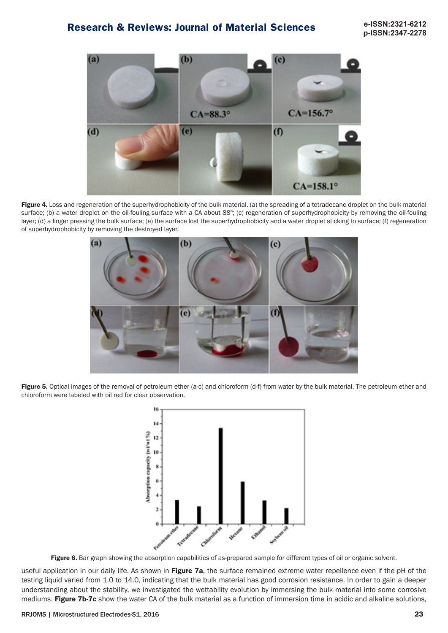

Figure 4. Loss and regeneration of the superhydrophobicity of the bulk material. (a) the spreading of a tetradecane droplet on the bulk material surface; (b) a water droplet on the oil-fouling surface with a CA about 88º; (c) regeneration of superhydrophobicity by removing the oil-fouling layer; (d) a finger pressing the bulk surface; (e) the surface lost the superhydrophobicity and a water droplet sticking to surface; (f) regeneration of superhydrophobicity by removing the destroyed layer.



Figure 5. Optical images of the removal of petroleum ether (a-c) and chloroform (d-f) from water by the bulk material. The petroleum ether and chloroform were labeled with oil red for clear observation.



Figure 6. Bar graph showing the absorption capabilities of as-prepared sample for different types of oil or organic solvent.

useful application in our daily life. As shown in Figure 7a, the surface remained extreme water repellence even if the pH of the testing liquid varied from 1.0 to 14.0, indicating that the bulk material has good corrosion resistance. In order to gain a deeper understanding about the stability, we investigated the wettability evolution by immersing the bulk material into some corrosive mediums. Figure 7b-7c show the water CA of the bulk material as a function of immersion time in acidic and alkaline solutions,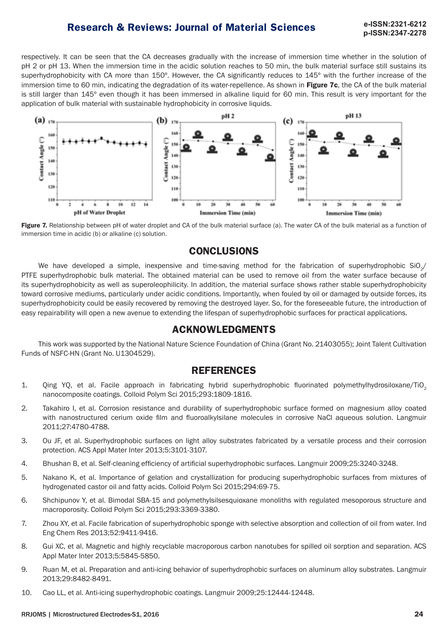# **p-ISSN:2347-2278**

respectively. It can be seen that the CA decreases gradually with the increase of immersion time whether in the solution of pH 2 or pH 13. When the immersion time in the acidic solution reaches to 50 min, the bulk material surface still sustains its superhydrophobicity with CA more than 150°. However, the CA significantly reduces to 145° with the further increase of the immersion time to 60 min, indicating the degradation of its water-repellence. As shown in Figure 7c, the CA of the bulk material is still larger than 145° even though it has been immersed in alkaline liquid for 60 min. This result is very important for the application of bulk material with sustainable hydrophobicity in corrosive liquids.



Figure 7. Relationship between pH of water droplet and CA of the bulk material surface (a). The water CA of the bulk material as a function of immersion time in acidic (b) or alkaline (c) solution.

### **CONCLUSIONS**

We have developed a simple, inexpensive and time-saving method for the fabrication of superhydrophobic SiO<sub>2</sub>/ PTFE superhydrophobic bulk material. The obtained material can be used to remove oil from the water surface because of its superhydrophobicity as well as superoleophilicity. In addition, the material surface shows rather stable superhydrophobicity toward corrosive mediums, particularly under acidic conditions. Importantly, when fouled by oil or damaged by outside forces, its superhydrophobicity could be easily recovered by removing the destroyed layer. So, for the foreseeable future, the introduction of easy repairability will open a new avenue to extending the lifespan of superhydrophobic surfaces for practical applications.

### **ACKNOWLEDGMENTS**

This work was supported by the National Nature Science Foundation of China (Grant No. 21403055); Joint Talent Cultivation Funds of NSFC-HN (Grant No. U1304529).

### **REFERENCES**

- 1. Qing YQ, et al. Facile approach in fabricating hybrid superhydrophobic fluorinated polymethylhydrosiloxane/TiO<sup>2</sup> nanocomposite coatings. Colloid Polym Sci 2015;293:1809-1816.
- 2. Takahiro I, et al. Corrosion resistance and durability of superhydrophobic surface formed on magnesium alloy coated with nanostructured cerium oxide film and fluoroalkylsilane molecules in corrosive NaCl aqueous solution. Langmuir 2011;27:4780-4788.
- 3. Ou JF, et al. Superhydrophobic surfaces on light alloy substrates fabricated by a versatile process and their corrosion protection. ACS Appl Mater Inter 2013;5:3101-3107.
- 4. Bhushan B, et al. Self-cleaning efficiency of artificial superhydrophobic surfaces. Langmuir 2009;25:3240-3248.
- 5. Nakano K, et al. Importance of gelation and crystallization for producing superhydrophobic surfaces from mixtures of hydrogenated castor oil and fatty acids. Colloid Polym Sci 2015;294:69-75.
- 6. Shchipunov Y, et al. Bimodal SBA-15 and polymethylsilsesquioxane monoliths with regulated mesoporous structure and macroporosity. Colloid Polym Sci 2015;293:3369-3380.
- 7. Zhou XY, et al. Facile fabrication of superhydrophobic sponge with selective absorption and collection of oil from water. Ind Eng Chem Res 2013;52:9411-9416.
- 8. Gui XC, et al. Magnetic and highly recyclable macroporous carbon nanotubes for spilled oil sorption and separation. ACS Appl Mater Inter 2013;5:5845-5850.
- 9. Ruan M, et al. Preparation and anti-icing behavior of superhydrophobic surfaces on aluminum alloy substrates. Langmuir 2013;29:8482-8491.
- 10. Cao LL, et al. Anti-icing superhydrophobic coatings. Langmuir 2009;25:12444-12448.